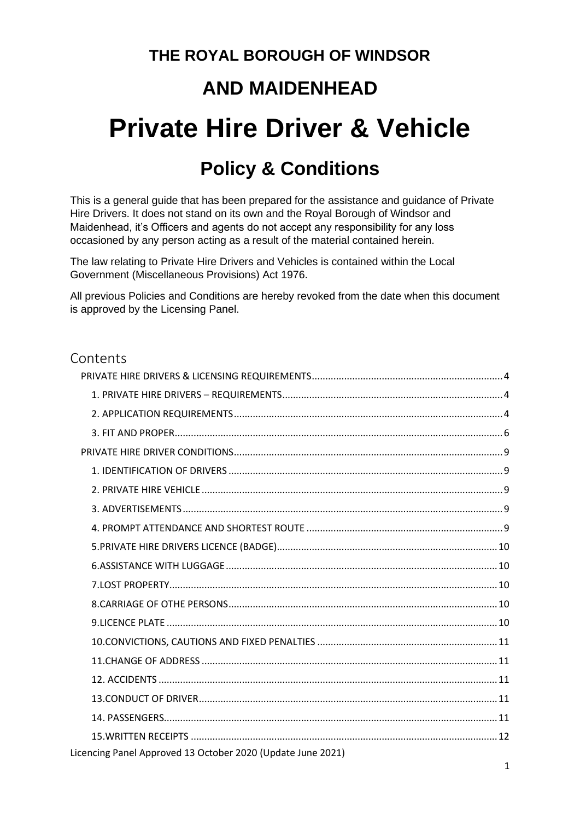## **Policy & Conditions**

This is a general guide that has been prepared for the assistance and guidance of Private Hire Drivers. It does not stand on its own and the Royal Borough of Windsor and Maidenhead, it's Officers and agents do not accept any responsibility for any loss occasioned by any person acting as a result of the material contained herein.

The law relating to Private Hire Drivers and Vehicles is contained within the Local Government (Miscellaneous Provisions) Act 1976.

All previous Policies and Conditions are hereby revoked from the date when this document is approved by the Licensing Panel.

### **Contents**

| Licencing Panel Approved 13 October 2020 (Update June 2021) |  |
|-------------------------------------------------------------|--|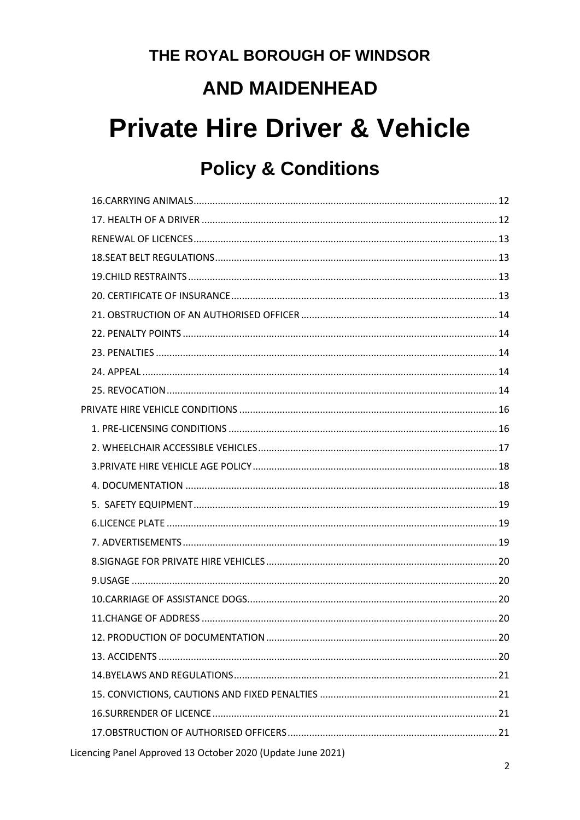## **Policy & Conditions**

| Licencing Panel Approved 13 October 2020 (Update June 2021) |  |
|-------------------------------------------------------------|--|
|                                                             |  |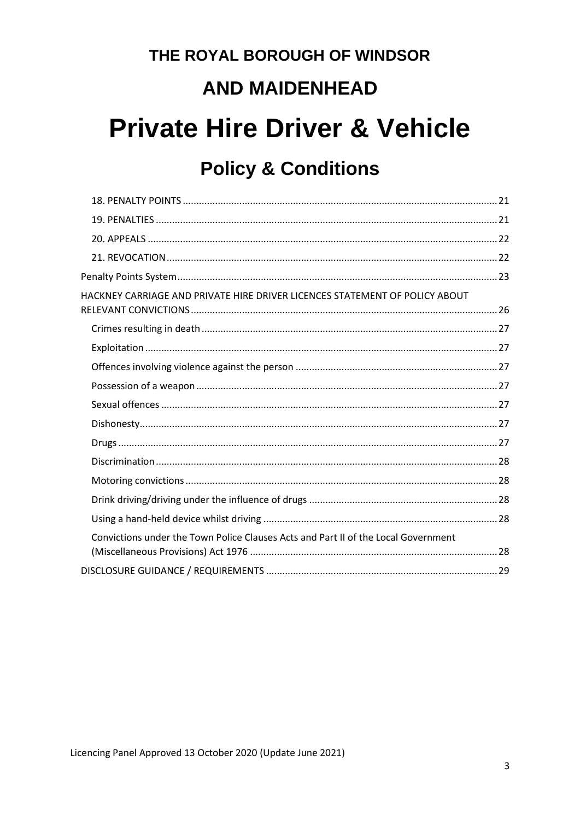## **Policy & Conditions**

| HACKNEY CARRIAGE AND PRIVATE HIRE DRIVER LICENCES STATEMENT OF POLICY ABOUT        |  |
|------------------------------------------------------------------------------------|--|
|                                                                                    |  |
|                                                                                    |  |
|                                                                                    |  |
|                                                                                    |  |
|                                                                                    |  |
|                                                                                    |  |
|                                                                                    |  |
|                                                                                    |  |
|                                                                                    |  |
|                                                                                    |  |
|                                                                                    |  |
| Convictions under the Town Police Clauses Acts and Part II of the Local Government |  |
|                                                                                    |  |
|                                                                                    |  |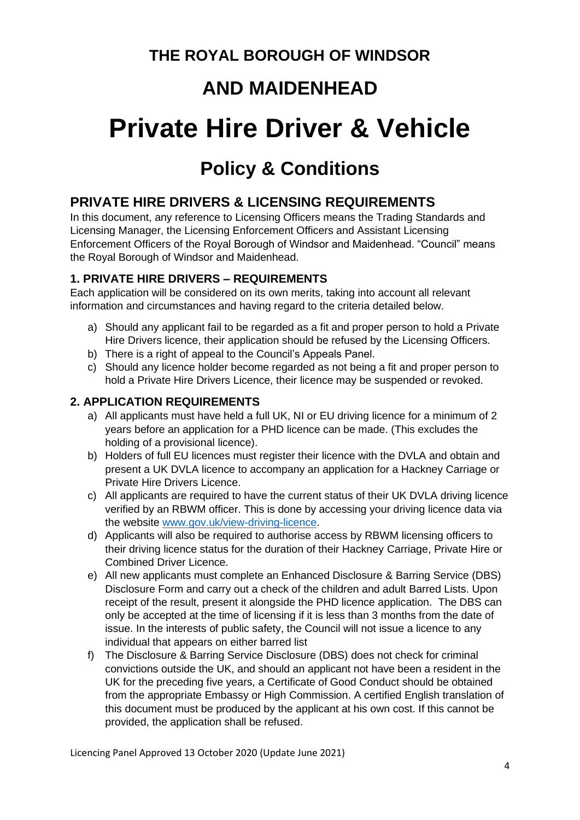### **AND MAIDENHEAD**

# **Private Hire Driver & Vehicle**

## **Policy & Conditions**

### <span id="page-3-0"></span>**PRIVATE HIRE DRIVERS & LICENSING REQUIREMENTS**

In this document, any reference to Licensing Officers means the Trading Standards and Licensing Manager, the Licensing Enforcement Officers and Assistant Licensing Enforcement Officers of the Royal Borough of Windsor and Maidenhead. "Council" means the Royal Borough of Windsor and Maidenhead.

### <span id="page-3-1"></span>**1. PRIVATE HIRE DRIVERS – REQUIREMENTS**

Each application will be considered on its own merits, taking into account all relevant information and circumstances and having regard to the criteria detailed below.

- a) Should any applicant fail to be regarded as a fit and proper person to hold a Private Hire Drivers licence, their application should be refused by the Licensing Officers.
- b) There is a right of appeal to the Council's Appeals Panel.
- c) Should any licence holder become regarded as not being a fit and proper person to hold a Private Hire Drivers Licence, their licence may be suspended or revoked.

### <span id="page-3-2"></span>**2. APPLICATION REQUIREMENTS**

- a) All applicants must have held a full UK, NI or EU driving licence for a minimum of 2 years before an application for a PHD licence can be made. (This excludes the holding of a provisional licence).
- b) Holders of full EU licences must register their licence with the DVLA and obtain and present a UK DVLA licence to accompany an application for a Hackney Carriage or Private Hire Drivers Licence.
- c) All applicants are required to have the current status of their UK DVLA driving licence verified by an RBWM officer. This is done by accessing your driving licence data via the website [www.gov.uk/view-driving-licence.](http://www.gov.uk/view-driving-licence)
- d) Applicants will also be required to authorise access by RBWM licensing officers to their driving licence status for the duration of their Hackney Carriage, Private Hire or Combined Driver Licence.
- e) All new applicants must complete an Enhanced Disclosure & Barring Service (DBS) Disclosure Form and carry out a check of the children and adult Barred Lists. Upon receipt of the result, present it alongside the PHD licence application. The DBS can only be accepted at the time of licensing if it is less than 3 months from the date of issue. In the interests of public safety, the Council will not issue a licence to any individual that appears on either barred list
- f) The Disclosure & Barring Service Disclosure (DBS) does not check for criminal convictions outside the UK, and should an applicant not have been a resident in the UK for the preceding five years, a Certificate of Good Conduct should be obtained from the appropriate Embassy or High Commission. A certified English translation of this document must be produced by the applicant at his own cost. If this cannot be provided, the application shall be refused.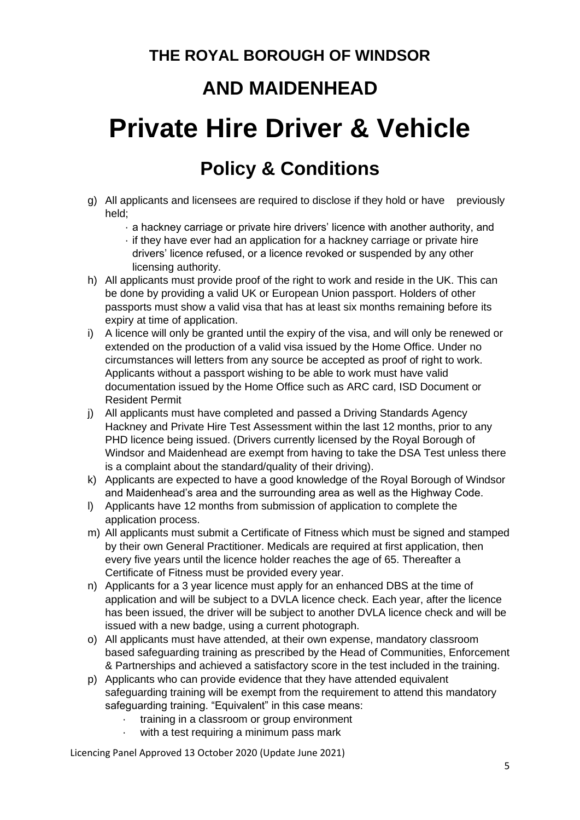## **AND MAIDENHEAD**

# **Private Hire Driver & Vehicle**

## **Policy & Conditions**

- g) All applicants and licensees are required to disclose if they hold or have previously held;
	- · a hackney carriage or private hire drivers' licence with another authority, and
	- · if they have ever had an application for a hackney carriage or private hire drivers' licence refused, or a licence revoked or suspended by any other licensing authority.
- h) All applicants must provide proof of the right to work and reside in the UK. This can be done by providing a valid UK or European Union passport. Holders of other passports must show a valid visa that has at least six months remaining before its expiry at time of application.
- i) A licence will only be granted until the expiry of the visa, and will only be renewed or extended on the production of a valid visa issued by the Home Office. Under no circumstances will letters from any source be accepted as proof of right to work. Applicants without a passport wishing to be able to work must have valid documentation issued by the Home Office such as ARC card, ISD Document or Resident Permit
- j) All applicants must have completed and passed a Driving Standards Agency Hackney and Private Hire Test Assessment within the last 12 months, prior to any PHD licence being issued. (Drivers currently licensed by the Royal Borough of Windsor and Maidenhead are exempt from having to take the DSA Test unless there is a complaint about the standard/quality of their driving).
- k) Applicants are expected to have a good knowledge of the Royal Borough of Windsor and Maidenhead's area and the surrounding area as well as the Highway Code.
- l) Applicants have 12 months from submission of application to complete the application process.
- m) All applicants must submit a Certificate of Fitness which must be signed and stamped by their own General Practitioner. Medicals are required at first application, then every five years until the licence holder reaches the age of 65. Thereafter a Certificate of Fitness must be provided every year.
- n) Applicants for a 3 year licence must apply for an enhanced DBS at the time of application and will be subject to a DVLA licence check. Each year, after the licence has been issued, the driver will be subject to another DVLA licence check and will be issued with a new badge, using a current photograph.
- o) All applicants must have attended, at their own expense, mandatory classroom based safeguarding training as prescribed by the Head of Communities, Enforcement & Partnerships and achieved a satisfactory score in the test included in the training.
- p) Applicants who can provide evidence that they have attended equivalent safeguarding training will be exempt from the requirement to attend this mandatory safeguarding training. "Equivalent" in this case means:
	- · training in a classroom or group environment
	- with a test requiring a minimum pass mark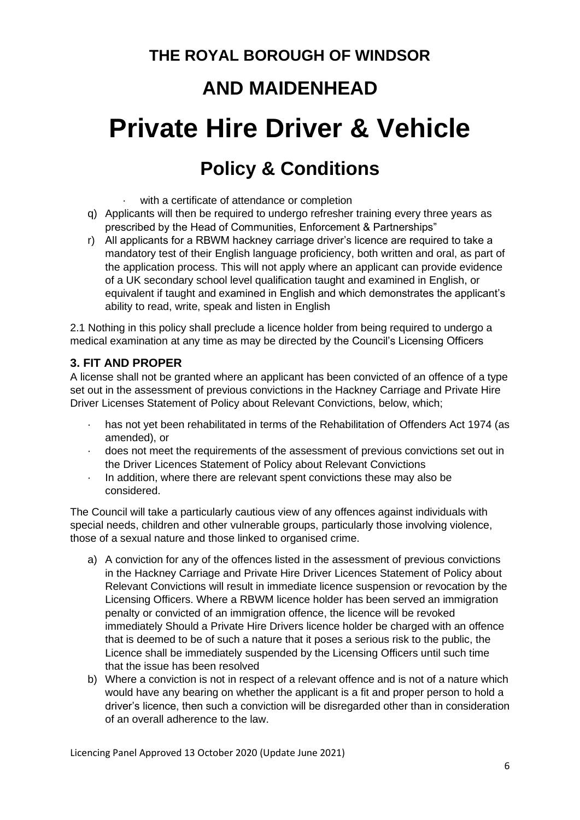### **AND MAIDENHEAD**

# **Private Hire Driver & Vehicle**

### **Policy & Conditions**

- with a certificate of attendance or completion
- q) Applicants will then be required to undergo refresher training every three years as prescribed by the Head of Communities, Enforcement & Partnerships"
- r) All applicants for a RBWM hackney carriage driver's licence are required to take a mandatory test of their English language proficiency, both written and oral, as part of the application process. This will not apply where an applicant can provide evidence of a UK secondary school level qualification taught and examined in English, or equivalent if taught and examined in English and which demonstrates the applicant's ability to read, write, speak and listen in English

2.1 Nothing in this policy shall preclude a licence holder from being required to undergo a medical examination at any time as may be directed by the Council's Licensing Officers

#### <span id="page-5-0"></span>**3. FIT AND PROPER**

A license shall not be granted where an applicant has been convicted of an offence of a type set out in the assessment of previous convictions in the Hackney Carriage and Private Hire Driver Licenses Statement of Policy about Relevant Convictions, below, which;

- has not yet been rehabilitated in terms of the Rehabilitation of Offenders Act 1974 (as amended), or
- · does not meet the requirements of the assessment of previous convictions set out in the Driver Licences Statement of Policy about Relevant Convictions
- · In addition, where there are relevant spent convictions these may also be considered.

The Council will take a particularly cautious view of any offences against individuals with special needs, children and other vulnerable groups, particularly those involving violence, those of a sexual nature and those linked to organised crime.

- a) A conviction for any of the offences listed in the assessment of previous convictions in the Hackney Carriage and Private Hire Driver Licences Statement of Policy about Relevant Convictions will result in immediate licence suspension or revocation by the Licensing Officers. Where a RBWM licence holder has been served an immigration penalty or convicted of an immigration offence, the licence will be revoked immediately Should a Private Hire Drivers licence holder be charged with an offence that is deemed to be of such a nature that it poses a serious risk to the public, the Licence shall be immediately suspended by the Licensing Officers until such time that the issue has been resolved
- b) Where a conviction is not in respect of a relevant offence and is not of a nature which would have any bearing on whether the applicant is a fit and proper person to hold a driver's licence, then such a conviction will be disregarded other than in consideration of an overall adherence to the law.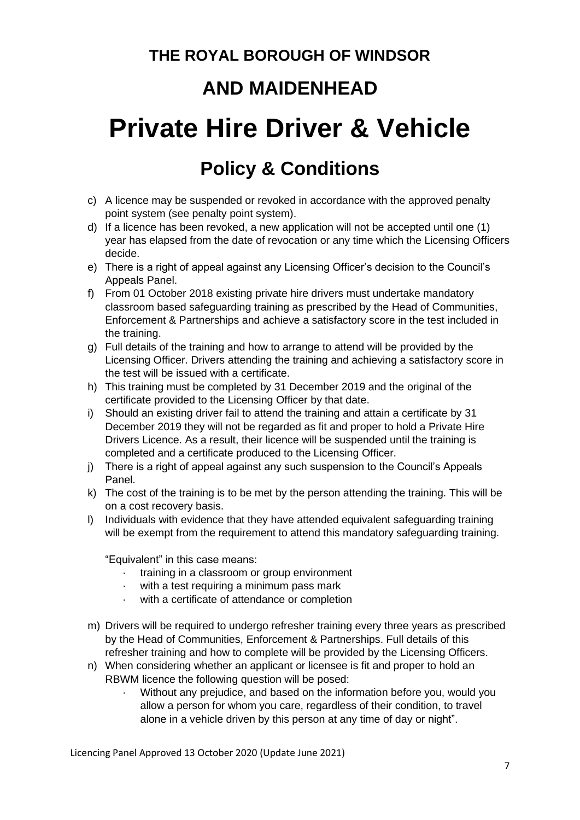## **AND MAIDENHEAD**

# **Private Hire Driver & Vehicle**

## **Policy & Conditions**

- c) A licence may be suspended or revoked in accordance with the approved penalty point system (see penalty point system).
- d) If a licence has been revoked, a new application will not be accepted until one (1) year has elapsed from the date of revocation or any time which the Licensing Officers decide.
- e) There is a right of appeal against any Licensing Officer's decision to the Council's Appeals Panel.
- f) From 01 October 2018 existing private hire drivers must undertake mandatory classroom based safeguarding training as prescribed by the Head of Communities, Enforcement & Partnerships and achieve a satisfactory score in the test included in the training.
- g) Full details of the training and how to arrange to attend will be provided by the Licensing Officer. Drivers attending the training and achieving a satisfactory score in the test will be issued with a certificate.
- h) This training must be completed by 31 December 2019 and the original of the certificate provided to the Licensing Officer by that date.
- i) Should an existing driver fail to attend the training and attain a certificate by 31 December 2019 they will not be regarded as fit and proper to hold a Private Hire Drivers Licence. As a result, their licence will be suspended until the training is completed and a certificate produced to the Licensing Officer.
- j) There is a right of appeal against any such suspension to the Council's Appeals Panel.
- k) The cost of the training is to be met by the person attending the training. This will be on a cost recovery basis.
- l) Individuals with evidence that they have attended equivalent safeguarding training will be exempt from the requirement to attend this mandatory safeguarding training.

"Equivalent" in this case means:

- training in a classroom or group environment
- with a test requiring a minimum pass mark
- with a certificate of attendance or completion
- m) Drivers will be required to undergo refresher training every three years as prescribed by the Head of Communities, Enforcement & Partnerships. Full details of this refresher training and how to complete will be provided by the Licensing Officers.
- n) When considering whether an applicant or licensee is fit and proper to hold an RBWM licence the following question will be posed:
	- Without any prejudice, and based on the information before you, would you allow a person for whom you care, regardless of their condition, to travel alone in a vehicle driven by this person at any time of day or night".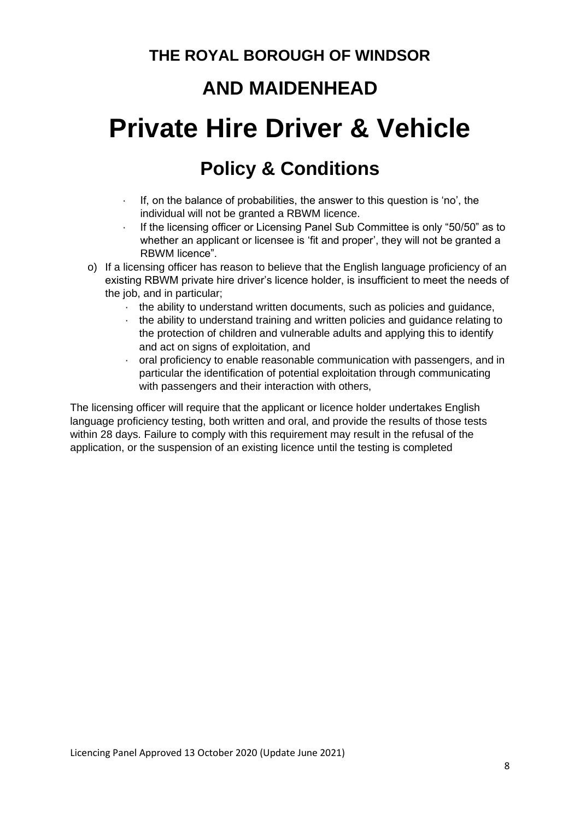### **AND MAIDENHEAD**

# **Private Hire Driver & Vehicle**

## **Policy & Conditions**

- If, on the balance of probabilities, the answer to this question is 'no', the individual will not be granted a RBWM licence.
- If the licensing officer or Licensing Panel Sub Committee is only "50/50" as to whether an applicant or licensee is 'fit and proper', they will not be granted a RBWM licence".
- o) If a licensing officer has reason to believe that the English language proficiency of an existing RBWM private hire driver's licence holder, is insufficient to meet the needs of the job, and in particular;
	- · the ability to understand written documents, such as policies and guidance,
	- · the ability to understand training and written policies and guidance relating to the protection of children and vulnerable adults and applying this to identify and act on signs of exploitation, and
	- · oral proficiency to enable reasonable communication with passengers, and in particular the identification of potential exploitation through communicating with passengers and their interaction with others,

The licensing officer will require that the applicant or licence holder undertakes English language proficiency testing, both written and oral, and provide the results of those tests within 28 days. Failure to comply with this requirement may result in the refusal of the application, or the suspension of an existing licence until the testing is completed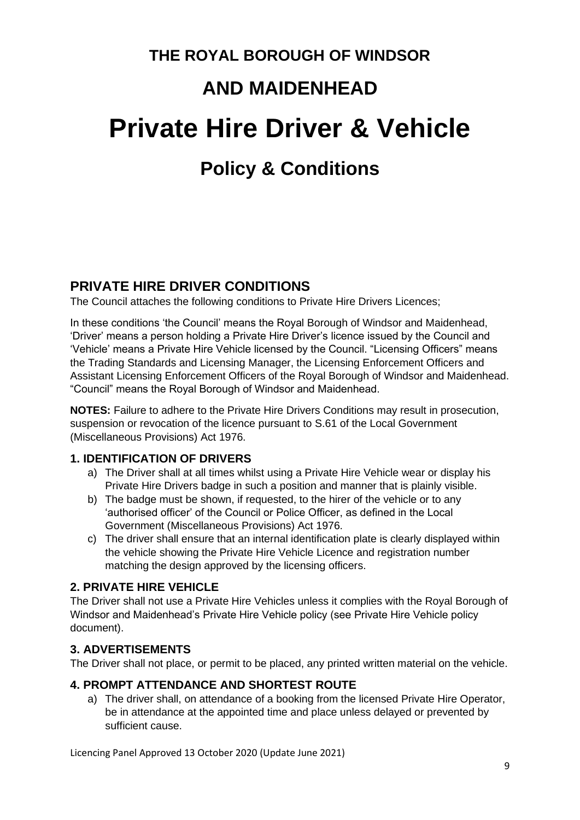# **THE ROYAL BOROUGH OF WINDSOR AND MAIDENHEAD Private Hire Driver & Vehicle Policy & Conditions**

### <span id="page-8-0"></span>**PRIVATE HIRE DRIVER CONDITIONS**

The Council attaches the following conditions to Private Hire Drivers Licences;

In these conditions 'the Council' means the Royal Borough of Windsor and Maidenhead, 'Driver' means a person holding a Private Hire Driver's licence issued by the Council and 'Vehicle' means a Private Hire Vehicle licensed by the Council. "Licensing Officers" means the Trading Standards and Licensing Manager, the Licensing Enforcement Officers and Assistant Licensing Enforcement Officers of the Royal Borough of Windsor and Maidenhead. "Council" means the Royal Borough of Windsor and Maidenhead.

**NOTES:** Failure to adhere to the Private Hire Drivers Conditions may result in prosecution, suspension or revocation of the licence pursuant to S.61 of the Local Government (Miscellaneous Provisions) Act 1976.

### <span id="page-8-1"></span>**1. IDENTIFICATION OF DRIVERS**

- a) The Driver shall at all times whilst using a Private Hire Vehicle wear or display his Private Hire Drivers badge in such a position and manner that is plainly visible.
- b) The badge must be shown, if requested, to the hirer of the vehicle or to any 'authorised officer' of the Council or Police Officer, as defined in the Local Government (Miscellaneous Provisions) Act 1976.
- c) The driver shall ensure that an internal identification plate is clearly displayed within the vehicle showing the Private Hire Vehicle Licence and registration number matching the design approved by the licensing officers.

### <span id="page-8-2"></span>**2. PRIVATE HIRE VEHICLE**

The Driver shall not use a Private Hire Vehicles unless it complies with the Royal Borough of Windsor and Maidenhead's Private Hire Vehicle policy (see Private Hire Vehicle policy document).

#### <span id="page-8-3"></span>**3. ADVERTISEMENTS**

The Driver shall not place, or permit to be placed, any printed written material on the vehicle.

### <span id="page-8-4"></span>**4. PROMPT ATTENDANCE AND SHORTEST ROUTE**

a) The driver shall, on attendance of a booking from the licensed Private Hire Operator, be in attendance at the appointed time and place unless delayed or prevented by sufficient cause.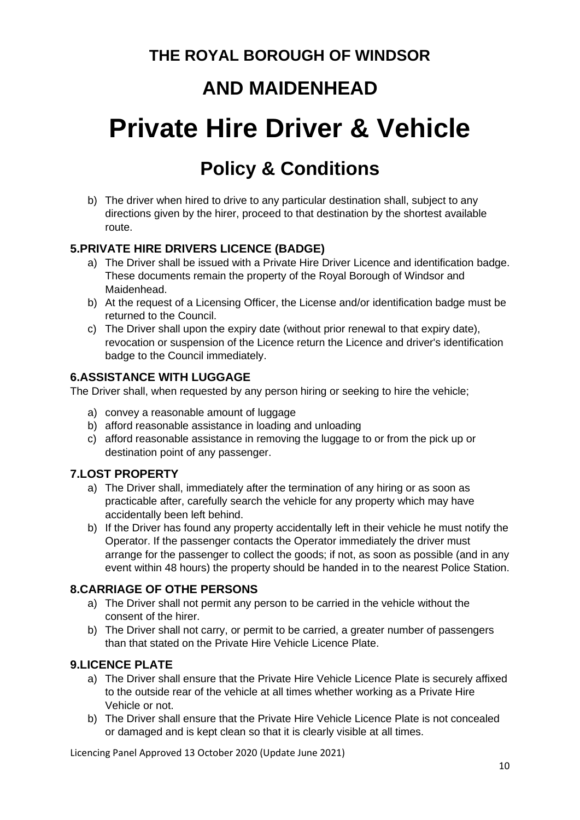### **AND MAIDENHEAD**

# **Private Hire Driver & Vehicle**

## **Policy & Conditions**

b) The driver when hired to drive to any particular destination shall, subject to any directions given by the hirer, proceed to that destination by the shortest available route.

### <span id="page-9-0"></span>**5.PRIVATE HIRE DRIVERS LICENCE (BADGE)**

- a) The Driver shall be issued with a Private Hire Driver Licence and identification badge. These documents remain the property of the Royal Borough of Windsor and Maidenhead.
- b) At the request of a Licensing Officer, the License and/or identification badge must be returned to the Council.
- c) The Driver shall upon the expiry date (without prior renewal to that expiry date), revocation or suspension of the Licence return the Licence and driver's identification badge to the Council immediately.

### <span id="page-9-1"></span>**6.ASSISTANCE WITH LUGGAGE**

The Driver shall, when requested by any person hiring or seeking to hire the vehicle;

- a) convey a reasonable amount of luggage
- b) afford reasonable assistance in loading and unloading
- c) afford reasonable assistance in removing the luggage to or from the pick up or destination point of any passenger.

### <span id="page-9-2"></span>**7.LOST PROPERTY**

- a) The Driver shall, immediately after the termination of any hiring or as soon as practicable after, carefully search the vehicle for any property which may have accidentally been left behind.
- b) If the Driver has found any property accidentally left in their vehicle he must notify the Operator. If the passenger contacts the Operator immediately the driver must arrange for the passenger to collect the goods; if not, as soon as possible (and in any event within 48 hours) the property should be handed in to the nearest Police Station.

#### <span id="page-9-3"></span>**8.CARRIAGE OF OTHE PERSONS**

- a) The Driver shall not permit any person to be carried in the vehicle without the consent of the hirer.
- b) The Driver shall not carry, or permit to be carried, a greater number of passengers than that stated on the Private Hire Vehicle Licence Plate.

#### <span id="page-9-4"></span>**9.LICENCE PLATE**

- a) The Driver shall ensure that the Private Hire Vehicle Licence Plate is securely affixed to the outside rear of the vehicle at all times whether working as a Private Hire Vehicle or not.
- b) The Driver shall ensure that the Private Hire Vehicle Licence Plate is not concealed or damaged and is kept clean so that it is clearly visible at all times.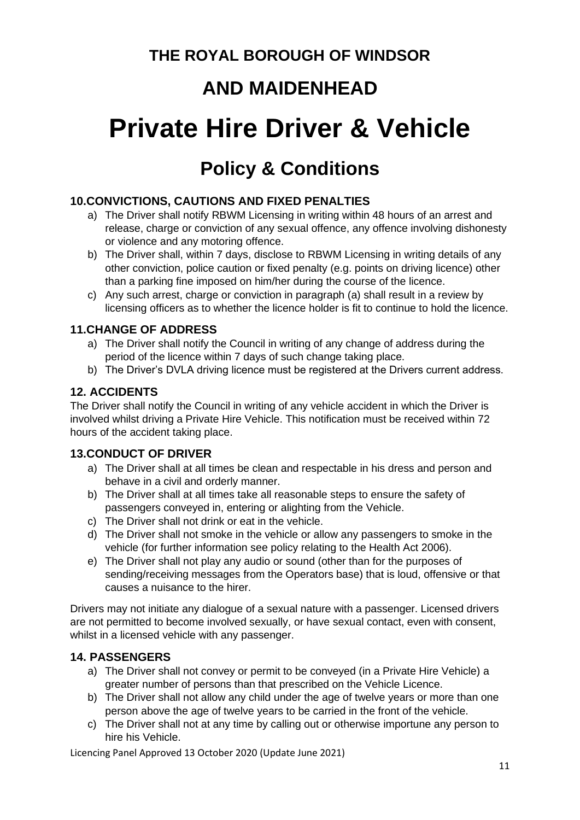### **AND MAIDENHEAD**

# **Private Hire Driver & Vehicle**

## **Policy & Conditions**

#### <span id="page-10-0"></span>**10.CONVICTIONS, CAUTIONS AND FIXED PENALTIES**

- a) The Driver shall notify RBWM Licensing in writing within 48 hours of an arrest and release, charge or conviction of any sexual offence, any offence involving dishonesty or violence and any motoring offence.
- b) The Driver shall, within 7 days, disclose to RBWM Licensing in writing details of any other conviction, police caution or fixed penalty (e.g. points on driving licence) other than a parking fine imposed on him/her during the course of the licence.
- c) Any such arrest, charge or conviction in paragraph (a) shall result in a review by licensing officers as to whether the licence holder is fit to continue to hold the licence.

#### <span id="page-10-1"></span>**11.CHANGE OF ADDRESS**

- a) The Driver shall notify the Council in writing of any change of address during the period of the licence within 7 days of such change taking place.
- b) The Driver's DVLA driving licence must be registered at the Drivers current address.

#### <span id="page-10-2"></span>**12. ACCIDENTS**

The Driver shall notify the Council in writing of any vehicle accident in which the Driver is involved whilst driving a Private Hire Vehicle. This notification must be received within 72 hours of the accident taking place.

#### <span id="page-10-3"></span>**13.CONDUCT OF DRIVER**

- a) The Driver shall at all times be clean and respectable in his dress and person and behave in a civil and orderly manner.
- b) The Driver shall at all times take all reasonable steps to ensure the safety of passengers conveyed in, entering or alighting from the Vehicle.
- c) The Driver shall not drink or eat in the vehicle.
- d) The Driver shall not smoke in the vehicle or allow any passengers to smoke in the vehicle (for further information see policy relating to the Health Act 2006).
- e) The Driver shall not play any audio or sound (other than for the purposes of sending/receiving messages from the Operators base) that is loud, offensive or that causes a nuisance to the hirer.

Drivers may not initiate any dialogue of a sexual nature with a passenger. Licensed drivers are not permitted to become involved sexually, or have sexual contact, even with consent, whilst in a licensed vehicle with any passenger.

#### <span id="page-10-4"></span>**14. PASSENGERS**

- a) The Driver shall not convey or permit to be conveyed (in a Private Hire Vehicle) a greater number of persons than that prescribed on the Vehicle Licence.
- b) The Driver shall not allow any child under the age of twelve years or more than one person above the age of twelve years to be carried in the front of the vehicle.
- c) The Driver shall not at any time by calling out or otherwise importune any person to hire his Vehicle.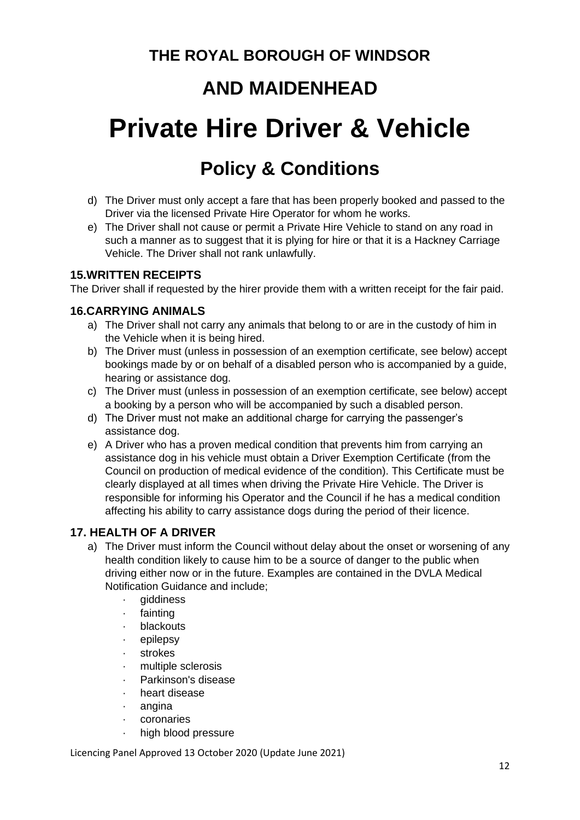## **AND MAIDENHEAD**

# **Private Hire Driver & Vehicle**

## **Policy & Conditions**

- d) The Driver must only accept a fare that has been properly booked and passed to the Driver via the licensed Private Hire Operator for whom he works.
- e) The Driver shall not cause or permit a Private Hire Vehicle to stand on any road in such a manner as to suggest that it is plying for hire or that it is a Hackney Carriage Vehicle. The Driver shall not rank unlawfully.

### <span id="page-11-0"></span>**15.WRITTEN RECEIPTS**

The Driver shall if requested by the hirer provide them with a written receipt for the fair paid.

#### <span id="page-11-1"></span>**16.CARRYING ANIMALS**

- a) The Driver shall not carry any animals that belong to or are in the custody of him in the Vehicle when it is being hired.
- b) The Driver must (unless in possession of an exemption certificate, see below) accept bookings made by or on behalf of a disabled person who is accompanied by a guide, hearing or assistance dog.
- c) The Driver must (unless in possession of an exemption certificate, see below) accept a booking by a person who will be accompanied by such a disabled person.
- d) The Driver must not make an additional charge for carrying the passenger's assistance dog.
- e) A Driver who has a proven medical condition that prevents him from carrying an assistance dog in his vehicle must obtain a Driver Exemption Certificate (from the Council on production of medical evidence of the condition). This Certificate must be clearly displayed at all times when driving the Private Hire Vehicle. The Driver is responsible for informing his Operator and the Council if he has a medical condition affecting his ability to carry assistance dogs during the period of their licence.

### <span id="page-11-2"></span>**17. HEALTH OF A DRIVER**

- a) The Driver must inform the Council without delay about the onset or worsening of any health condition likely to cause him to be a source of danger to the public when driving either now or in the future. Examples are contained in the DVLA Medical Notification Guidance and include;
	- · giddiness
	- **fainting**
	- **blackouts**
	- · epilepsy
	- · strokes
	- multiple sclerosis
	- Parkinson's disease
	- heart disease
	- · angina
	- **coronaries**
	- high blood pressure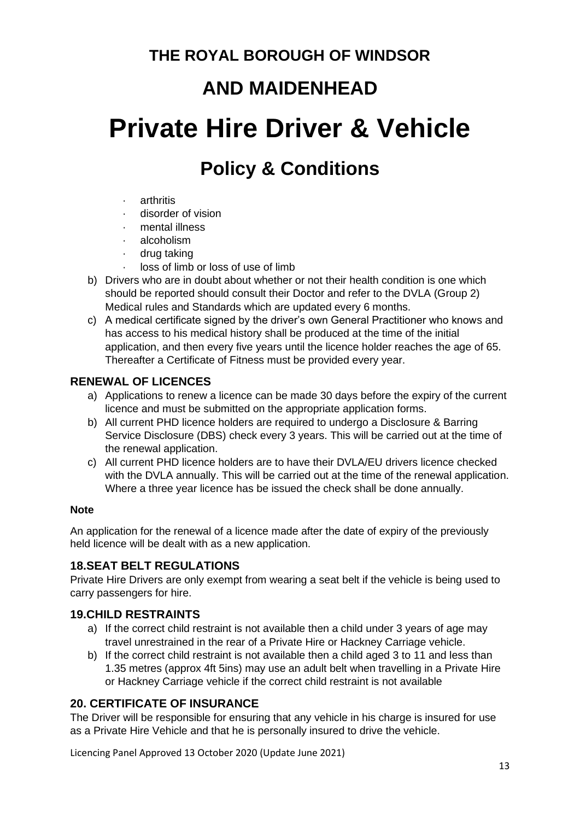## **AND MAIDENHEAD**

# **Private Hire Driver & Vehicle**

## **Policy & Conditions**

- · arthritis
- · disorder of vision
- mental illness
- alcoholism
- · drug taking
- loss of limb or loss of use of limb
- b) Drivers who are in doubt about whether or not their health condition is one which should be reported should consult their Doctor and refer to the DVLA (Group 2) Medical rules and Standards which are updated every 6 months.
- c) A medical certificate signed by the driver's own General Practitioner who knows and has access to his medical history shall be produced at the time of the initial application, and then every five years until the licence holder reaches the age of 65. Thereafter a Certificate of Fitness must be provided every year.

### <span id="page-12-0"></span>**RENEWAL OF LICENCES**

- a) Applications to renew a licence can be made 30 days before the expiry of the current licence and must be submitted on the appropriate application forms.
- b) All current PHD licence holders are required to undergo a Disclosure & Barring Service Disclosure (DBS) check every 3 years. This will be carried out at the time of the renewal application.
- c) All current PHD licence holders are to have their DVLA/EU drivers licence checked with the DVLA annually. This will be carried out at the time of the renewal application. Where a three year licence has be issued the check shall be done annually.

#### **Note**

An application for the renewal of a licence made after the date of expiry of the previously held licence will be dealt with as a new application.

### <span id="page-12-1"></span>**18.SEAT BELT REGULATIONS**

Private Hire Drivers are only exempt from wearing a seat belt if the vehicle is being used to carry passengers for hire.

### <span id="page-12-2"></span>**19.CHILD RESTRAINTS**

- a) If the correct child restraint is not available then a child under 3 years of age may travel unrestrained in the rear of a Private Hire or Hackney Carriage vehicle.
- b) If the correct child restraint is not available then a child aged 3 to 11 and less than 1.35 metres (approx 4ft 5ins) may use an adult belt when travelling in a Private Hire or Hackney Carriage vehicle if the correct child restraint is not available

### <span id="page-12-3"></span>**20. CERTIFICATE OF INSURANCE**

The Driver will be responsible for ensuring that any vehicle in his charge is insured for use as a Private Hire Vehicle and that he is personally insured to drive the vehicle.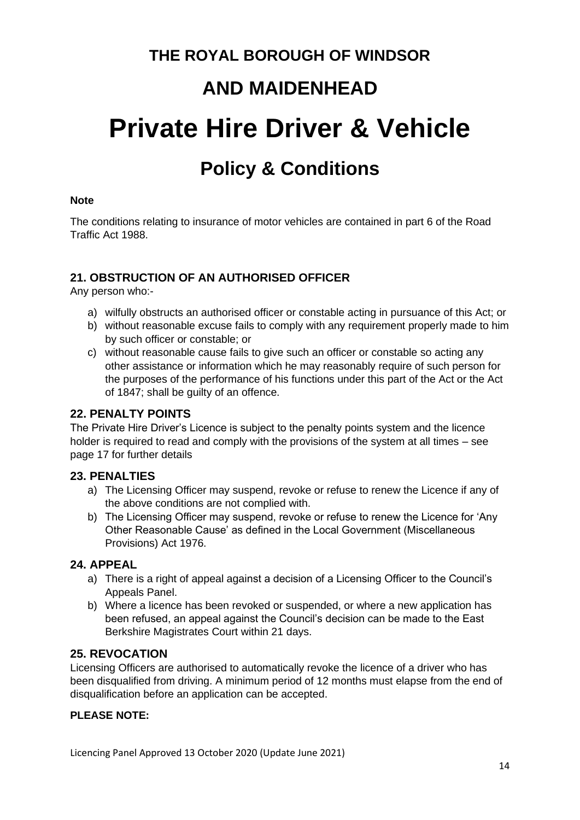### **AND MAIDENHEAD**

# **Private Hire Driver & Vehicle**

### **Policy & Conditions**

#### **Note**

The conditions relating to insurance of motor vehicles are contained in part 6 of the Road Traffic Act 1988.

#### <span id="page-13-0"></span>**21. OBSTRUCTION OF AN AUTHORISED OFFICER**

Any person who:-

- a) wilfully obstructs an authorised officer or constable acting in pursuance of this Act; or
- b) without reasonable excuse fails to comply with any requirement properly made to him by such officer or constable; or
- c) without reasonable cause fails to give such an officer or constable so acting any other assistance or information which he may reasonably require of such person for the purposes of the performance of his functions under this part of the Act or the Act of 1847; shall be guilty of an offence.

#### <span id="page-13-1"></span>**22. PENALTY POINTS**

The Private Hire Driver's Licence is subject to the penalty points system and the licence holder is required to read and comply with the provisions of the system at all times – see page 17 for further details

#### <span id="page-13-2"></span>**23. PENALTIES**

- a) The Licensing Officer may suspend, revoke or refuse to renew the Licence if any of the above conditions are not complied with.
- b) The Licensing Officer may suspend, revoke or refuse to renew the Licence for 'Any Other Reasonable Cause' as defined in the Local Government (Miscellaneous Provisions) Act 1976.

#### <span id="page-13-3"></span>**24. APPEAL**

- a) There is a right of appeal against a decision of a Licensing Officer to the Council's Appeals Panel.
- b) Where a licence has been revoked or suspended, or where a new application has been refused, an appeal against the Council's decision can be made to the East Berkshire Magistrates Court within 21 days.

#### <span id="page-13-4"></span>**25. REVOCATION**

Licensing Officers are authorised to automatically revoke the licence of a driver who has been disqualified from driving. A minimum period of 12 months must elapse from the end of disqualification before an application can be accepted.

#### **PLEASE NOTE:**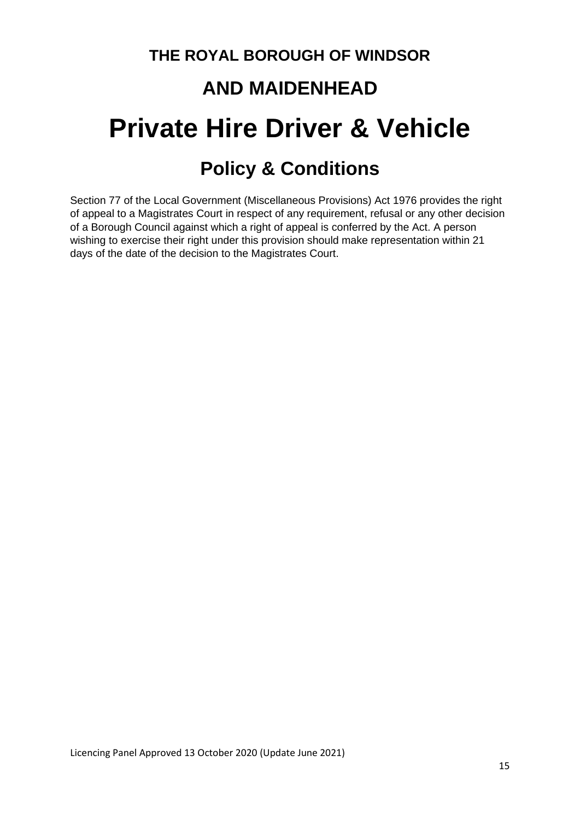## **Policy & Conditions**

Section 77 of the Local Government (Miscellaneous Provisions) Act 1976 provides the right of appeal to a Magistrates Court in respect of any requirement, refusal or any other decision of a Borough Council against which a right of appeal is conferred by the Act. A person wishing to exercise their right under this provision should make representation within 21 days of the date of the decision to the Magistrates Court.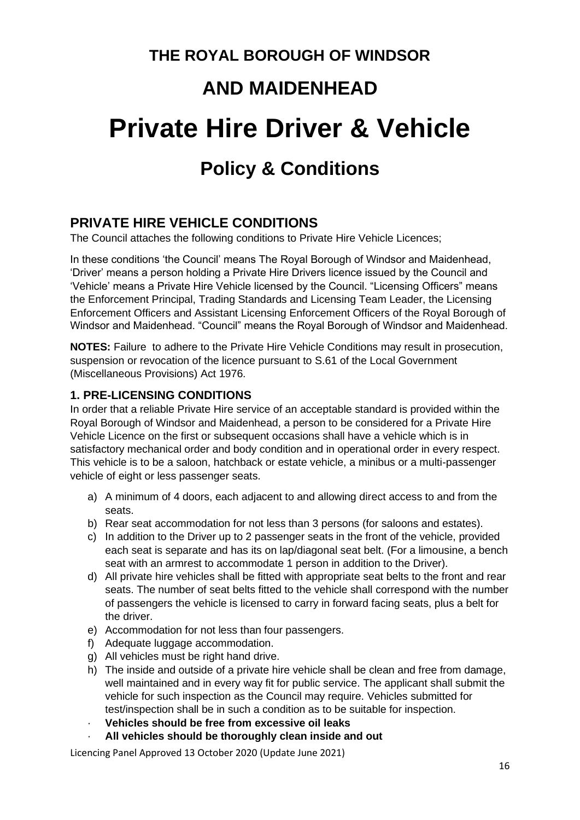### **AND MAIDENHEAD**

## **Private Hire Driver & Vehicle**

## **Policy & Conditions**

### <span id="page-15-0"></span>**PRIVATE HIRE VEHICLE CONDITIONS**

The Council attaches the following conditions to Private Hire Vehicle Licences;

In these conditions 'the Council' means The Royal Borough of Windsor and Maidenhead, 'Driver' means a person holding a Private Hire Drivers licence issued by the Council and 'Vehicle' means a Private Hire Vehicle licensed by the Council. "Licensing Officers" means the Enforcement Principal, Trading Standards and Licensing Team Leader, the Licensing Enforcement Officers and Assistant Licensing Enforcement Officers of the Royal Borough of Windsor and Maidenhead. "Council" means the Royal Borough of Windsor and Maidenhead.

**NOTES:** Failure to adhere to the Private Hire Vehicle Conditions may result in prosecution, suspension or revocation of the licence pursuant to S.61 of the Local Government (Miscellaneous Provisions) Act 1976.

#### <span id="page-15-1"></span>**1. PRE-LICENSING CONDITIONS**

In order that a reliable Private Hire service of an acceptable standard is provided within the Royal Borough of Windsor and Maidenhead, a person to be considered for a Private Hire Vehicle Licence on the first or subsequent occasions shall have a vehicle which is in satisfactory mechanical order and body condition and in operational order in every respect. This vehicle is to be a saloon, hatchback or estate vehicle, a minibus or a multi-passenger vehicle of eight or less passenger seats.

- a) A minimum of 4 doors, each adjacent to and allowing direct access to and from the seats.
- b) Rear seat accommodation for not less than 3 persons (for saloons and estates).
- c) In addition to the Driver up to 2 passenger seats in the front of the vehicle, provided each seat is separate and has its on lap/diagonal seat belt. (For a limousine, a bench seat with an armrest to accommodate 1 person in addition to the Driver).
- d) All private hire vehicles shall be fitted with appropriate seat belts to the front and rear seats. The number of seat belts fitted to the vehicle shall correspond with the number of passengers the vehicle is licensed to carry in forward facing seats, plus a belt for the driver.
- e) Accommodation for not less than four passengers.
- f) Adequate luggage accommodation.
- g) All vehicles must be right hand drive.
- h) The inside and outside of a private hire vehicle shall be clean and free from damage, well maintained and in every way fit for public service. The applicant shall submit the vehicle for such inspection as the Council may require. Vehicles submitted for test/inspection shall be in such a condition as to be suitable for inspection.
- · **Vehicles should be free from excessive oil leaks**
- · **All vehicles should be thoroughly clean inside and out**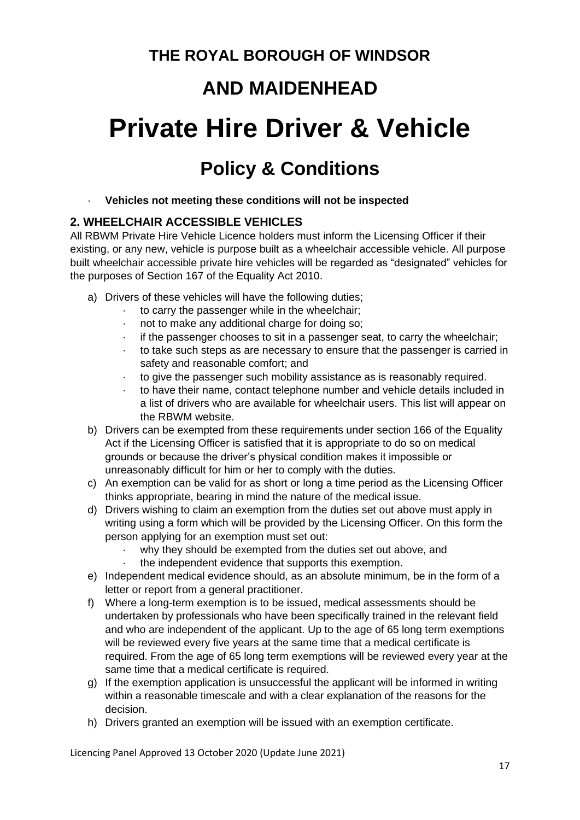### **AND MAIDENHEAD**

# **Private Hire Driver & Vehicle**

## **Policy & Conditions**

#### · **Vehicles not meeting these conditions will not be inspected**

#### <span id="page-16-0"></span>**2. WHEELCHAIR ACCESSIBLE VEHICLES**

All RBWM Private Hire Vehicle Licence holders must inform the Licensing Officer if their existing, or any new, vehicle is purpose built as a wheelchair accessible vehicle. All purpose built wheelchair accessible private hire vehicles will be regarded as "designated" vehicles for the purposes of Section 167 of the Equality Act 2010.

- a) Drivers of these vehicles will have the following duties;
	- to carry the passenger while in the wheelchair;
	- not to make any additional charge for doing so;
	- if the passenger chooses to sit in a passenger seat, to carry the wheelchair;
	- to take such steps as are necessary to ensure that the passenger is carried in safety and reasonable comfort; and
	- to give the passenger such mobility assistance as is reasonably required.
	- · to have their name, contact telephone number and vehicle details included in a list of drivers who are available for wheelchair users. This list will appear on the RBWM website.
- b) Drivers can be exempted from these requirements under section 166 of the Equality Act if the Licensing Officer is satisfied that it is appropriate to do so on medical grounds or because the driver's physical condition makes it impossible or unreasonably difficult for him or her to comply with the duties.
- c) An exemption can be valid for as short or long a time period as the Licensing Officer thinks appropriate, bearing in mind the nature of the medical issue.
- d) Drivers wishing to claim an exemption from the duties set out above must apply in writing using a form which will be provided by the Licensing Officer. On this form the person applying for an exemption must set out:
	- why they should be exempted from the duties set out above, and
		- the independent evidence that supports this exemption.
- e) Independent medical evidence should, as an absolute minimum, be in the form of a letter or report from a general practitioner.
- f) Where a long-term exemption is to be issued, medical assessments should be undertaken by professionals who have been specifically trained in the relevant field and who are independent of the applicant. Up to the age of 65 long term exemptions will be reviewed every five years at the same time that a medical certificate is required. From the age of 65 long term exemptions will be reviewed every year at the same time that a medical certificate is required.
- g) If the exemption application is unsuccessful the applicant will be informed in writing within a reasonable timescale and with a clear explanation of the reasons for the decision.
- h) Drivers granted an exemption will be issued with an exemption certificate.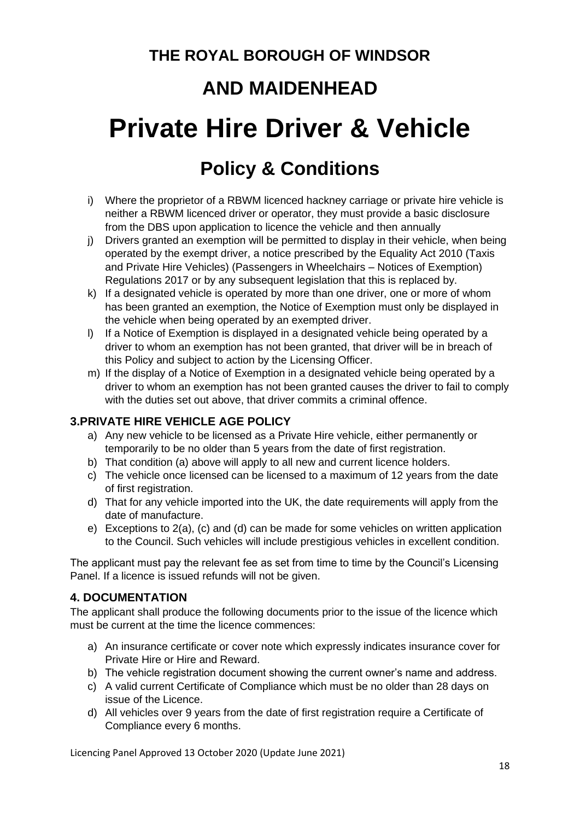## **Policy & Conditions**

- i) Where the proprietor of a RBWM licenced hackney carriage or private hire vehicle is neither a RBWM licenced driver or operator, they must provide a basic disclosure from the DBS upon application to licence the vehicle and then annually
- j) Drivers granted an exemption will be permitted to display in their vehicle, when being operated by the exempt driver, a notice prescribed by the Equality Act 2010 (Taxis and Private Hire Vehicles) (Passengers in Wheelchairs – Notices of Exemption) Regulations 2017 or by any subsequent legislation that this is replaced by.
- k) If a designated vehicle is operated by more than one driver, one or more of whom has been granted an exemption, the Notice of Exemption must only be displayed in the vehicle when being operated by an exempted driver.
- l) If a Notice of Exemption is displayed in a designated vehicle being operated by a driver to whom an exemption has not been granted, that driver will be in breach of this Policy and subject to action by the Licensing Officer.
- m) If the display of a Notice of Exemption in a designated vehicle being operated by a driver to whom an exemption has not been granted causes the driver to fail to comply with the duties set out above, that driver commits a criminal offence.

### <span id="page-17-0"></span>**3.PRIVATE HIRE VEHICLE AGE POLICY**

- a) Any new vehicle to be licensed as a Private Hire vehicle, either permanently or temporarily to be no older than 5 years from the date of first registration.
- b) That condition (a) above will apply to all new and current licence holders.
- c) The vehicle once licensed can be licensed to a maximum of 12 years from the date of first registration.
- d) That for any vehicle imported into the UK, the date requirements will apply from the date of manufacture.
- e) Exceptions to 2(a), (c) and (d) can be made for some vehicles on written application to the Council. Such vehicles will include prestigious vehicles in excellent condition.

The applicant must pay the relevant fee as set from time to time by the Council's Licensing Panel. If a licence is issued refunds will not be given.

### <span id="page-17-1"></span>**4. DOCUMENTATION**

The applicant shall produce the following documents prior to the issue of the licence which must be current at the time the licence commences:

- a) An insurance certificate or cover note which expressly indicates insurance cover for Private Hire or Hire and Reward.
- b) The vehicle registration document showing the current owner's name and address.
- c) A valid current Certificate of Compliance which must be no older than 28 days on issue of the Licence.
- d) All vehicles over 9 years from the date of first registration require a Certificate of Compliance every 6 months.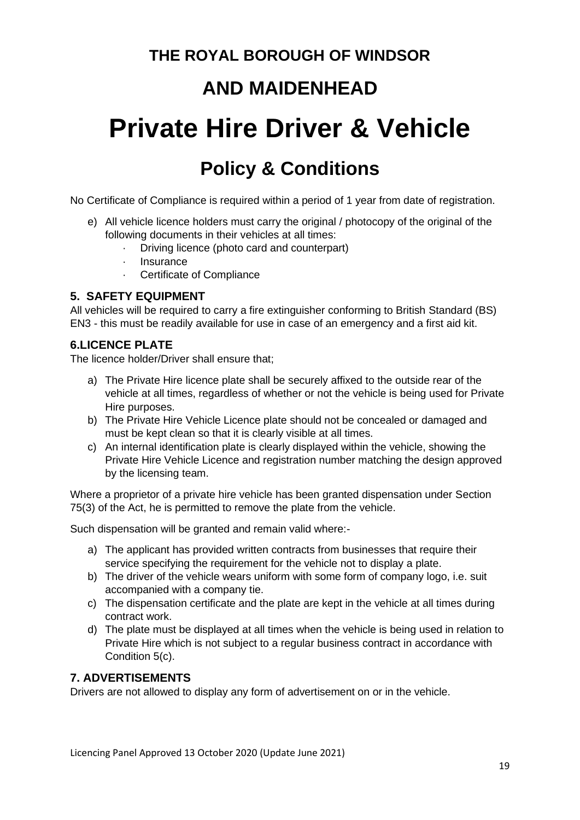### **AND MAIDENHEAD**

# **Private Hire Driver & Vehicle**

## **Policy & Conditions**

No Certificate of Compliance is required within a period of 1 year from date of registration.

- e) All vehicle licence holders must carry the original / photocopy of the original of the following documents in their vehicles at all times:
	- · Driving licence (photo card and counterpart)
	- **Insurance**
	- · Certificate of Compliance

#### <span id="page-18-0"></span>**5. SAFETY EQUIPMENT**

All vehicles will be required to carry a fire extinguisher conforming to British Standard (BS) EN3 - this must be readily available for use in case of an emergency and a first aid kit.

#### <span id="page-18-1"></span>**6.LICENCE PLATE**

The licence holder/Driver shall ensure that;

- a) The Private Hire licence plate shall be securely affixed to the outside rear of the vehicle at all times, regardless of whether or not the vehicle is being used for Private Hire purposes.
- b) The Private Hire Vehicle Licence plate should not be concealed or damaged and must be kept clean so that it is clearly visible at all times.
- c) An internal identification plate is clearly displayed within the vehicle, showing the Private Hire Vehicle Licence and registration number matching the design approved by the licensing team.

Where a proprietor of a private hire vehicle has been granted dispensation under Section 75(3) of the Act, he is permitted to remove the plate from the vehicle.

Such dispensation will be granted and remain valid where:-

- a) The applicant has provided written contracts from businesses that require their service specifying the requirement for the vehicle not to display a plate.
- b) The driver of the vehicle wears uniform with some form of company logo, i.e. suit accompanied with a company tie.
- c) The dispensation certificate and the plate are kept in the vehicle at all times during contract work.
- d) The plate must be displayed at all times when the vehicle is being used in relation to Private Hire which is not subject to a regular business contract in accordance with Condition 5(c).

### <span id="page-18-2"></span>**7. ADVERTISEMENTS**

Drivers are not allowed to display any form of advertisement on or in the vehicle.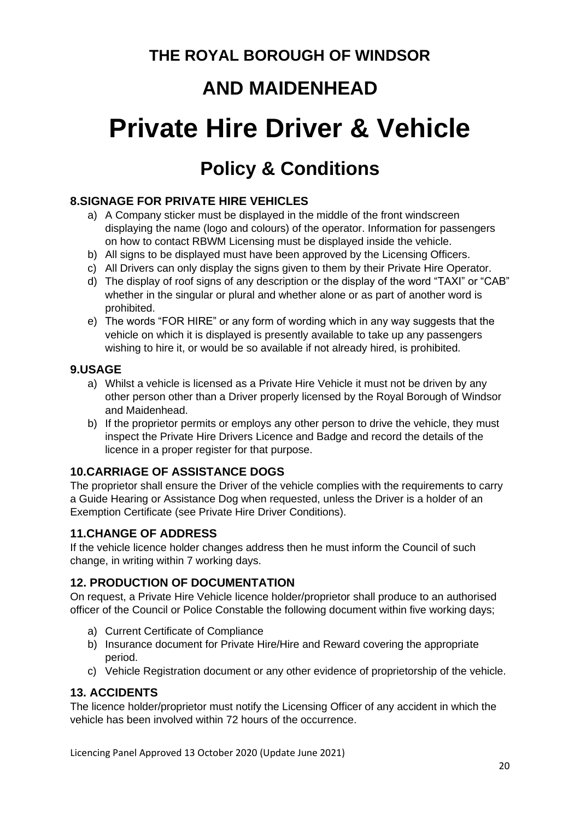## **AND MAIDENHEAD**

# **Private Hire Driver & Vehicle**

## **Policy & Conditions**

#### <span id="page-19-0"></span>**8.SIGNAGE FOR PRIVATE HIRE VEHICLES**

- a) A Company sticker must be displayed in the middle of the front windscreen displaying the name (logo and colours) of the operator. Information for passengers on how to contact RBWM Licensing must be displayed inside the vehicle.
- b) All signs to be displayed must have been approved by the Licensing Officers.
- c) All Drivers can only display the signs given to them by their Private Hire Operator.
- d) The display of roof signs of any description or the display of the word "TAXI" or "CAB" whether in the singular or plural and whether alone or as part of another word is prohibited.
- e) The words "FOR HIRE" or any form of wording which in any way suggests that the vehicle on which it is displayed is presently available to take up any passengers wishing to hire it, or would be so available if not already hired, is prohibited.

#### <span id="page-19-1"></span>**9.USAGE**

- a) Whilst a vehicle is licensed as a Private Hire Vehicle it must not be driven by any other person other than a Driver properly licensed by the Royal Borough of Windsor and Maidenhead.
- b) If the proprietor permits or employs any other person to drive the vehicle, they must inspect the Private Hire Drivers Licence and Badge and record the details of the licence in a proper register for that purpose.

### <span id="page-19-2"></span>**10.CARRIAGE OF ASSISTANCE DOGS**

The proprietor shall ensure the Driver of the vehicle complies with the requirements to carry a Guide Hearing or Assistance Dog when requested, unless the Driver is a holder of an Exemption Certificate (see Private Hire Driver Conditions).

#### <span id="page-19-3"></span>**11.CHANGE OF ADDRESS**

If the vehicle licence holder changes address then he must inform the Council of such change, in writing within 7 working days.

### <span id="page-19-4"></span>**12. PRODUCTION OF DOCUMENTATION**

On request, a Private Hire Vehicle licence holder/proprietor shall produce to an authorised officer of the Council or Police Constable the following document within five working days;

- a) Current Certificate of Compliance
- b) Insurance document for Private Hire/Hire and Reward covering the appropriate period.
- c) Vehicle Registration document or any other evidence of proprietorship of the vehicle.

### <span id="page-19-5"></span>**13. ACCIDENTS**

The licence holder/proprietor must notify the Licensing Officer of any accident in which the vehicle has been involved within 72 hours of the occurrence.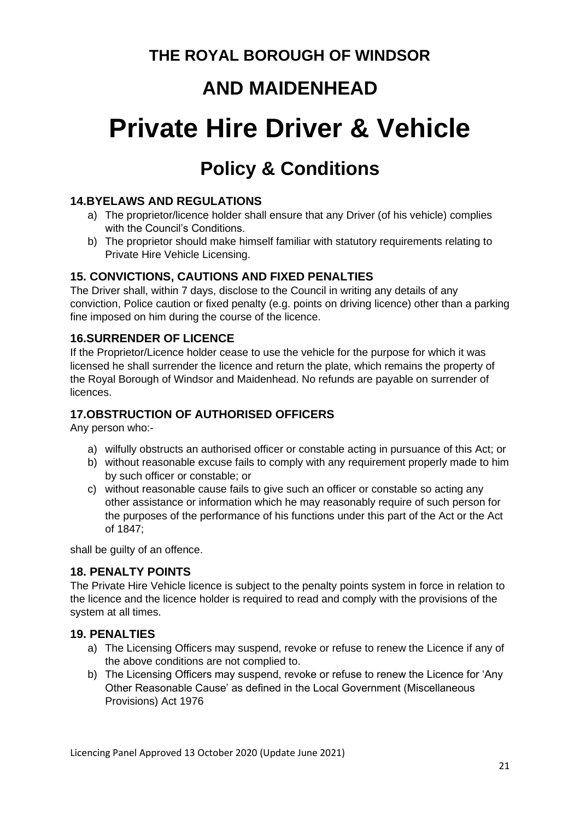### **AND MAIDENHEAD**

# **Private Hire Driver & Vehicle**

## **Policy & Conditions**

#### <span id="page-20-0"></span>**14.BYELAWS AND REGULATIONS**

- a) The proprietor/licence holder shall ensure that any Driver (of his vehicle) complies with the Council's Conditions.
- b) The proprietor should make himself familiar with statutory requirements relating to Private Hire Vehicle Licensing.

#### <span id="page-20-1"></span>**15. CONVICTIONS, CAUTIONS AND FIXED PENALTIES**

The Driver shall, within 7 days, disclose to the Council in writing any details of any conviction, Police caution or fixed penalty (e.g. points on driving licence) other than a parking fine imposed on him during the course of the licence.

#### <span id="page-20-2"></span>**16.SURRENDER OF LICENCE**

If the Proprietor/Licence holder cease to use the vehicle for the purpose for which it was licensed he shall surrender the licence and return the plate, which remains the property of the Royal Borough of Windsor and Maidenhead. No refunds are payable on surrender of licences.

#### <span id="page-20-3"></span>**17.OBSTRUCTION OF AUTHORISED OFFICERS**

Any person who:-

- a) wilfully obstructs an authorised officer or constable acting in pursuance of this Act; or
- b) without reasonable excuse fails to comply with any requirement properly made to him by such officer or constable; or
- c) without reasonable cause fails to give such an officer or constable so acting any other assistance or information which he may reasonably require of such person for the purposes of the performance of his functions under this part of the Act or the Act of 1847;

shall be guilty of an offence.

#### <span id="page-20-4"></span>**18. PENALTY POINTS**

The Private Hire Vehicle licence is subject to the penalty points system in force in relation to the licence and the licence holder is required to read and comply with the provisions of the system at all times.

#### <span id="page-20-5"></span>**19. PENALTIES**

- a) The Licensing Officers may suspend, revoke or refuse to renew the Licence if any of the above conditions are not complied to.
- b) The Licensing Officers may suspend, revoke or refuse to renew the Licence for 'Any Other Reasonable Cause' as defined in the Local Government (Miscellaneous Provisions) Act 1976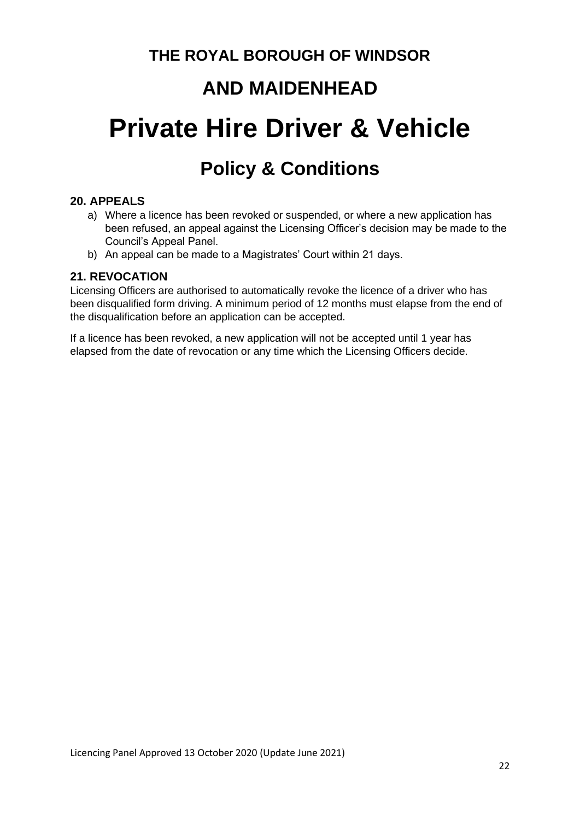### **AND MAIDENHEAD**

# **Private Hire Driver & Vehicle**

### **Policy & Conditions**

#### <span id="page-21-0"></span>**20. APPEALS**

- a) Where a licence has been revoked or suspended, or where a new application has been refused, an appeal against the Licensing Officer's decision may be made to the Council's Appeal Panel.
- b) An appeal can be made to a Magistrates' Court within 21 days.

#### <span id="page-21-1"></span>**21. REVOCATION**

Licensing Officers are authorised to automatically revoke the licence of a driver who has been disqualified form driving. A minimum period of 12 months must elapse from the end of the disqualification before an application can be accepted.

If a licence has been revoked, a new application will not be accepted until 1 year has elapsed from the date of revocation or any time which the Licensing Officers decide.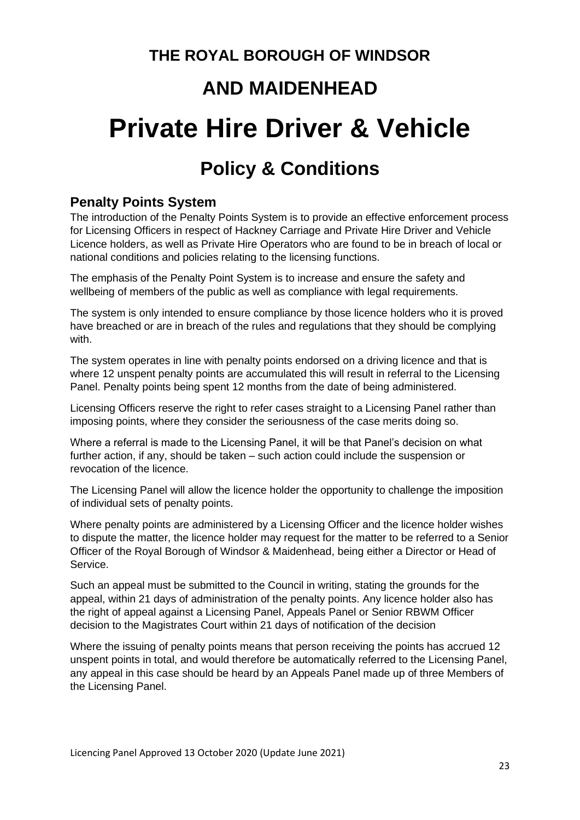### **AND MAIDENHEAD**

## **Private Hire Driver & Vehicle**

### **Policy & Conditions**

### <span id="page-22-0"></span>**Penalty Points System**

The introduction of the Penalty Points System is to provide an effective enforcement process for Licensing Officers in respect of Hackney Carriage and Private Hire Driver and Vehicle Licence holders, as well as Private Hire Operators who are found to be in breach of local or national conditions and policies relating to the licensing functions.

The emphasis of the Penalty Point System is to increase and ensure the safety and wellbeing of members of the public as well as compliance with legal requirements.

The system is only intended to ensure compliance by those licence holders who it is proved have breached or are in breach of the rules and regulations that they should be complying with.

The system operates in line with penalty points endorsed on a driving licence and that is where 12 unspent penalty points are accumulated this will result in referral to the Licensing Panel. Penalty points being spent 12 months from the date of being administered.

Licensing Officers reserve the right to refer cases straight to a Licensing Panel rather than imposing points, where they consider the seriousness of the case merits doing so.

Where a referral is made to the Licensing Panel, it will be that Panel's decision on what further action, if any, should be taken – such action could include the suspension or revocation of the licence.

The Licensing Panel will allow the licence holder the opportunity to challenge the imposition of individual sets of penalty points.

Where penalty points are administered by a Licensing Officer and the licence holder wishes to dispute the matter, the licence holder may request for the matter to be referred to a Senior Officer of the Royal Borough of Windsor & Maidenhead, being either a Director or Head of Service.

Such an appeal must be submitted to the Council in writing, stating the grounds for the appeal, within 21 days of administration of the penalty points. Any licence holder also has the right of appeal against a Licensing Panel, Appeals Panel or Senior RBWM Officer decision to the Magistrates Court within 21 days of notification of the decision

Where the issuing of penalty points means that person receiving the points has accrued 12 unspent points in total, and would therefore be automatically referred to the Licensing Panel, any appeal in this case should be heard by an Appeals Panel made up of three Members of the Licensing Panel.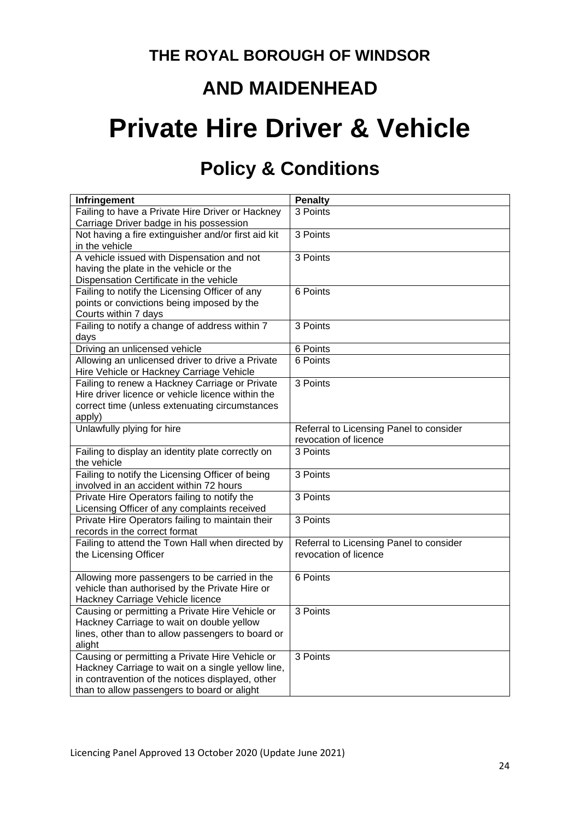### **AND MAIDENHEAD**

# **Private Hire Driver & Vehicle**

## **Policy & Conditions**

| Infringement                                                     | <b>Penalty</b>                          |
|------------------------------------------------------------------|-----------------------------------------|
| Failing to have a Private Hire Driver or Hackney                 | 3 Points                                |
| Carriage Driver badge in his possession                          |                                         |
| Not having a fire extinguisher and/or first aid kit              | 3 Points                                |
| in the vehicle                                                   |                                         |
| A vehicle issued with Dispensation and not                       | 3 Points                                |
| having the plate in the vehicle or the                           |                                         |
| Dispensation Certificate in the vehicle                          |                                         |
| Failing to notify the Licensing Officer of any                   | 6 Points                                |
| points or convictions being imposed by the                       |                                         |
| Courts within 7 days                                             |                                         |
| Failing to notify a change of address within 7                   | 3 Points                                |
| days                                                             |                                         |
| Driving an unlicensed vehicle                                    | 6 Points                                |
| Allowing an unlicensed driver to drive a Private                 | 6 Points                                |
| Hire Vehicle or Hackney Carriage Vehicle                         |                                         |
| Failing to renew a Hackney Carriage or Private                   | 3 Points                                |
| Hire driver licence or vehicle licence within the                |                                         |
| correct time (unless extenuating circumstances                   |                                         |
| apply)                                                           |                                         |
| Unlawfully plying for hire                                       | Referral to Licensing Panel to consider |
|                                                                  | revocation of licence                   |
| Failing to display an identity plate correctly on<br>the vehicle | 3 Points                                |
| Failing to notify the Licensing Officer of being                 | 3 Points                                |
| involved in an accident within 72 hours                          |                                         |
| Private Hire Operators failing to notify the                     | 3 Points                                |
| Licensing Officer of any complaints received                     |                                         |
| Private Hire Operators failing to maintain their                 | 3 Points                                |
| records in the correct format                                    |                                         |
| Failing to attend the Town Hall when directed by                 | Referral to Licensing Panel to consider |
| the Licensing Officer                                            | revocation of licence                   |
|                                                                  |                                         |
| Allowing more passengers to be carried in the                    | 6 Points                                |
| vehicle than authorised by the Private Hire or                   |                                         |
| Hackney Carriage Vehicle licence                                 |                                         |
| Causing or permitting a Private Hire Vehicle or                  | 3 Points                                |
| Hackney Carriage to wait on double yellow                        |                                         |
| lines, other than to allow passengers to board or                |                                         |
| alight                                                           |                                         |
| Causing or permitting a Private Hire Vehicle or                  | 3 Points                                |
| Hackney Carriage to wait on a single yellow line,                |                                         |
| in contravention of the notices displayed, other                 |                                         |
| than to allow passengers to board or alight                      |                                         |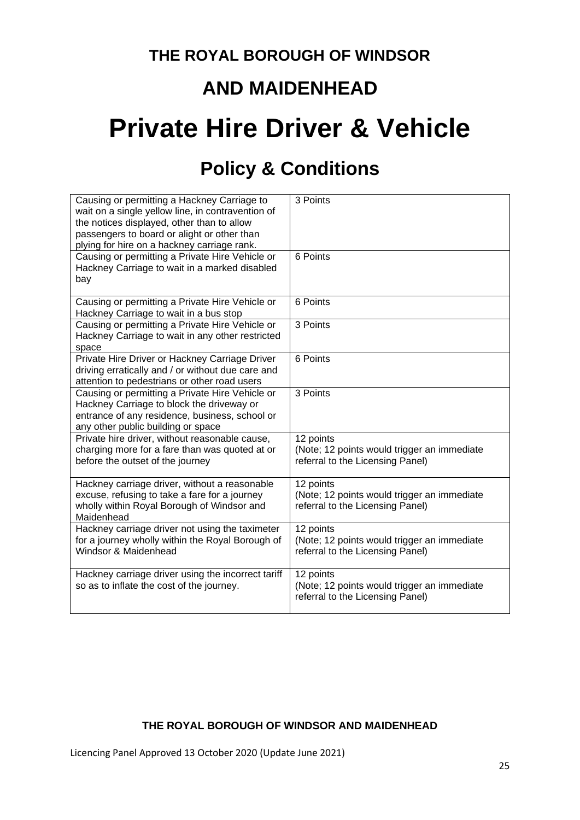### **AND MAIDENHEAD**

## **Private Hire Driver & Vehicle**

## **Policy & Conditions**

| Causing or permitting a Hackney Carriage to<br>wait on a single yellow line, in contravention of<br>the notices displayed, other than to allow<br>passengers to board or alight or other than<br>plying for hire on a hackney carriage rank. | 3 Points                                                                                     |
|----------------------------------------------------------------------------------------------------------------------------------------------------------------------------------------------------------------------------------------------|----------------------------------------------------------------------------------------------|
| Causing or permitting a Private Hire Vehicle or<br>Hackney Carriage to wait in a marked disabled<br>bay                                                                                                                                      | 6 Points                                                                                     |
| Causing or permitting a Private Hire Vehicle or<br>Hackney Carriage to wait in a bus stop                                                                                                                                                    | 6 Points                                                                                     |
| Causing or permitting a Private Hire Vehicle or<br>Hackney Carriage to wait in any other restricted<br>space                                                                                                                                 | 3 Points                                                                                     |
| Private Hire Driver or Hackney Carriage Driver<br>driving erratically and / or without due care and<br>attention to pedestrians or other road users                                                                                          | 6 Points                                                                                     |
| Causing or permitting a Private Hire Vehicle or<br>Hackney Carriage to block the driveway or<br>entrance of any residence, business, school or<br>any other public building or space                                                         | 3 Points                                                                                     |
| Private hire driver, without reasonable cause,<br>charging more for a fare than was quoted at or<br>before the outset of the journey                                                                                                         | 12 points<br>(Note; 12 points would trigger an immediate<br>referral to the Licensing Panel) |
| Hackney carriage driver, without a reasonable<br>excuse, refusing to take a fare for a journey<br>wholly within Royal Borough of Windsor and<br>Maidenhead                                                                                   | 12 points<br>(Note; 12 points would trigger an immediate<br>referral to the Licensing Panel) |
| Hackney carriage driver not using the taximeter<br>for a journey wholly within the Royal Borough of<br>Windsor & Maidenhead                                                                                                                  | 12 points<br>(Note; 12 points would trigger an immediate<br>referral to the Licensing Panel) |
| Hackney carriage driver using the incorrect tariff<br>so as to inflate the cost of the journey.                                                                                                                                              | 12 points<br>(Note; 12 points would trigger an immediate<br>referral to the Licensing Panel) |

#### **THE ROYAL BOROUGH OF WINDSOR AND MAIDENHEAD**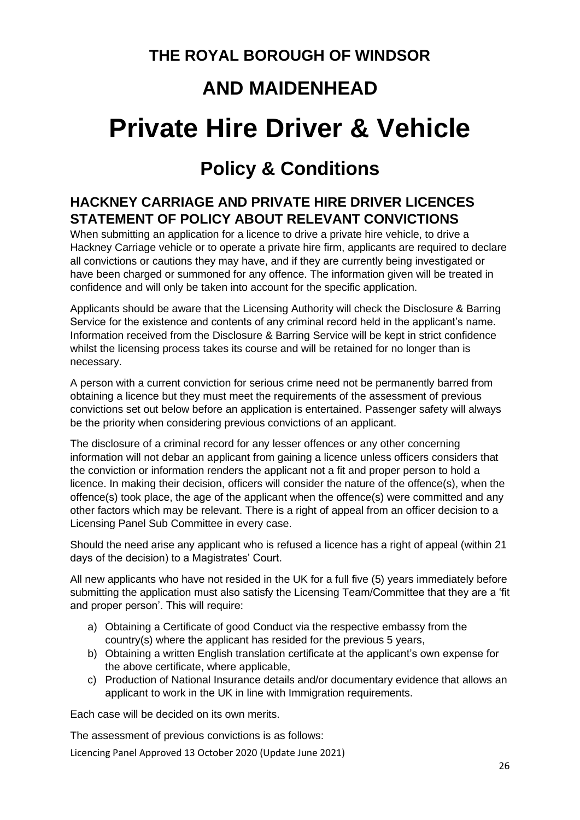### **AND MAIDENHEAD**

# **Private Hire Driver & Vehicle**

## **Policy & Conditions**

### <span id="page-25-0"></span>**HACKNEY CARRIAGE AND PRIVATE HIRE DRIVER LICENCES STATEMENT OF POLICY ABOUT RELEVANT CONVICTIONS**

When submitting an application for a licence to drive a private hire vehicle, to drive a Hackney Carriage vehicle or to operate a private hire firm, applicants are required to declare all convictions or cautions they may have, and if they are currently being investigated or have been charged or summoned for any offence. The information given will be treated in confidence and will only be taken into account for the specific application.

Applicants should be aware that the Licensing Authority will check the Disclosure & Barring Service for the existence and contents of any criminal record held in the applicant's name. Information received from the Disclosure & Barring Service will be kept in strict confidence whilst the licensing process takes its course and will be retained for no longer than is necessary.

A person with a current conviction for serious crime need not be permanently barred from obtaining a licence but they must meet the requirements of the assessment of previous convictions set out below before an application is entertained. Passenger safety will always be the priority when considering previous convictions of an applicant.

The disclosure of a criminal record for any lesser offences or any other concerning information will not debar an applicant from gaining a licence unless officers considers that the conviction or information renders the applicant not a fit and proper person to hold a licence. In making their decision, officers will consider the nature of the offence(s), when the offence(s) took place, the age of the applicant when the offence(s) were committed and any other factors which may be relevant. There is a right of appeal from an officer decision to a Licensing Panel Sub Committee in every case.

Should the need arise any applicant who is refused a licence has a right of appeal (within 21 days of the decision) to a Magistrates' Court.

All new applicants who have not resided in the UK for a full five (5) years immediately before submitting the application must also satisfy the Licensing Team/Committee that they are a 'fit and proper person'. This will require:

- a) Obtaining a Certificate of good Conduct via the respective embassy from the country(s) where the applicant has resided for the previous 5 years,
- b) Obtaining a written English translation certificate at the applicant's own expense for the above certificate, where applicable,
- c) Production of National Insurance details and/or documentary evidence that allows an applicant to work in the UK in line with Immigration requirements.

Each case will be decided on its own merits.

The assessment of previous convictions is as follows: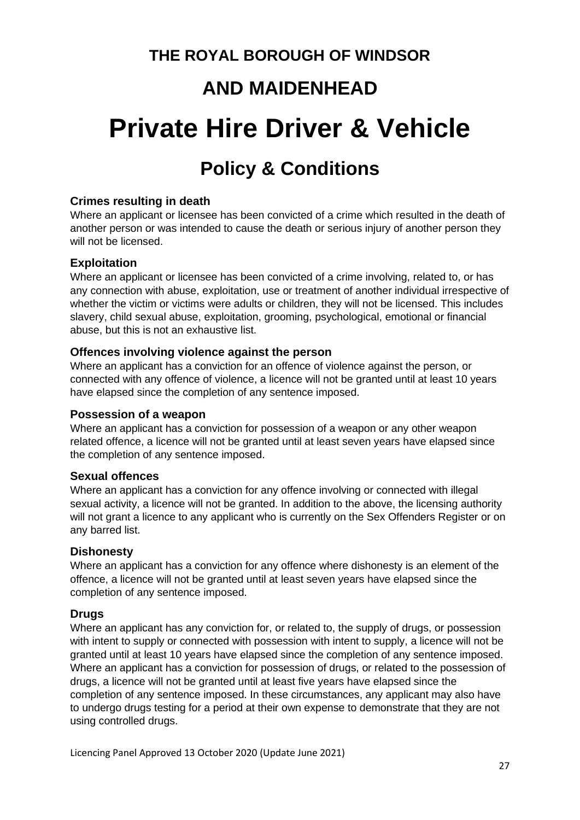### **AND MAIDENHEAD**

# **Private Hire Driver & Vehicle**

### **Policy & Conditions**

#### <span id="page-26-0"></span>**Crimes resulting in death**

Where an applicant or licensee has been convicted of a crime which resulted in the death of another person or was intended to cause the death or serious injury of another person they will not be licensed.

#### <span id="page-26-1"></span>**Exploitation**

Where an applicant or licensee has been convicted of a crime involving, related to, or has any connection with abuse, exploitation, use or treatment of another individual irrespective of whether the victim or victims were adults or children, they will not be licensed. This includes slavery, child sexual abuse, exploitation, grooming, psychological, emotional or financial abuse, but this is not an exhaustive list.

#### <span id="page-26-2"></span>**Offences involving violence against the person**

Where an applicant has a conviction for an offence of violence against the person, or connected with any offence of violence, a licence will not be granted until at least 10 years have elapsed since the completion of any sentence imposed.

#### <span id="page-26-3"></span>**Possession of a weapon**

Where an applicant has a conviction for possession of a weapon or any other weapon related offence, a licence will not be granted until at least seven years have elapsed since the completion of any sentence imposed.

#### <span id="page-26-4"></span>**Sexual offences**

Where an applicant has a conviction for any offence involving or connected with illegal sexual activity, a licence will not be granted. In addition to the above, the licensing authority will not grant a licence to any applicant who is currently on the Sex Offenders Register or on any barred list.

#### <span id="page-26-5"></span>**Dishonesty**

Where an applicant has a conviction for any offence where dishonesty is an element of the offence, a licence will not be granted until at least seven years have elapsed since the completion of any sentence imposed.

#### <span id="page-26-6"></span>**Drugs**

Where an applicant has any conviction for, or related to, the supply of drugs, or possession with intent to supply or connected with possession with intent to supply, a licence will not be granted until at least 10 years have elapsed since the completion of any sentence imposed. Where an applicant has a conviction for possession of drugs, or related to the possession of drugs, a licence will not be granted until at least five years have elapsed since the completion of any sentence imposed. In these circumstances, any applicant may also have to undergo drugs testing for a period at their own expense to demonstrate that they are not using controlled drugs.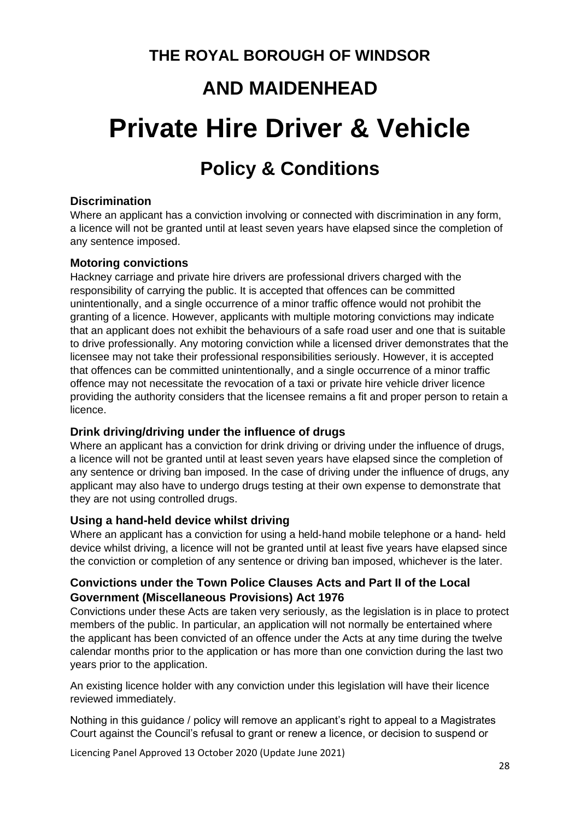### **AND MAIDENHEAD**

# **Private Hire Driver & Vehicle**

### **Policy & Conditions**

#### <span id="page-27-0"></span>**Discrimination**

Where an applicant has a conviction involving or connected with discrimination in any form, a licence will not be granted until at least seven years have elapsed since the completion of any sentence imposed.

#### <span id="page-27-1"></span>**Motoring convictions**

Hackney carriage and private hire drivers are professional drivers charged with the responsibility of carrying the public. It is accepted that offences can be committed unintentionally, and a single occurrence of a minor traffic offence would not prohibit the granting of a licence. However, applicants with multiple motoring convictions may indicate that an applicant does not exhibit the behaviours of a safe road user and one that is suitable to drive professionally. Any motoring conviction while a licensed driver demonstrates that the licensee may not take their professional responsibilities seriously. However, it is accepted that offences can be committed unintentionally, and a single occurrence of a minor traffic offence may not necessitate the revocation of a taxi or private hire vehicle driver licence providing the authority considers that the licensee remains a fit and proper person to retain a licence.

#### <span id="page-27-2"></span>**Drink driving/driving under the influence of drugs**

Where an applicant has a conviction for drink driving or driving under the influence of drugs, a licence will not be granted until at least seven years have elapsed since the completion of any sentence or driving ban imposed. In the case of driving under the influence of drugs, any applicant may also have to undergo drugs testing at their own expense to demonstrate that they are not using controlled drugs.

#### <span id="page-27-3"></span>**Using a hand-held device whilst driving**

Where an applicant has a conviction for using a held‐hand mobile telephone or a hand‐ held device whilst driving, a licence will not be granted until at least five years have elapsed since the conviction or completion of any sentence or driving ban imposed, whichever is the later.

#### <span id="page-27-4"></span>**Convictions under the Town Police Clauses Acts and Part II of the Local Government (Miscellaneous Provisions) Act 1976**

Convictions under these Acts are taken very seriously, as the legislation is in place to protect members of the public. In particular, an application will not normally be entertained where the applicant has been convicted of an offence under the Acts at any time during the twelve calendar months prior to the application or has more than one conviction during the last two years prior to the application.

An existing licence holder with any conviction under this legislation will have their licence reviewed immediately.

Nothing in this guidance / policy will remove an applicant's right to appeal to a Magistrates Court against the Council's refusal to grant or renew a licence, or decision to suspend or